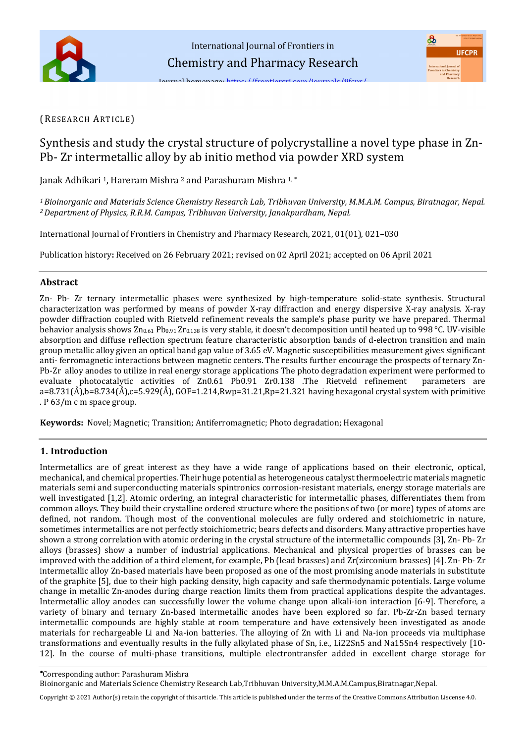## (RESEARCH ARTICLE)

# Synthesis and study the crystal structure of polycrystalline a novel type phase in Zn-Pb- Zr intermetallic alloy by ab initio method via powder XRD system

Janak Adhikari <sup>1</sup>, Hareram Mishra <sup>2</sup> and Parashuram Mishra <sup>1,\*</sup>

*<sup>1</sup>Bioinorganic and Materials Science Chemistry Research Lab, Tribhuvan University, M.M.A.M. Campus, Biratnagar, Nepal. <sup>2</sup>Department of Physics, R.R.M. Campus, Tribhuvan University, Janakpurdham, Nepal.* 

International Journal of Frontiers in Chemistry and Pharmacy Research, 2021, 01(01), 021–030

Publication history**:** Received on 26 February 2021; revised on 02 April 2021; accepted on 06 April 2021

### **Abstract**

Zn- Pb- Zr ternary intermetallic phases were synthesized by high-temperature solid-state synthesis. Structural characterization was performed by means of powder X-ray diffraction and energy dispersive X-ray analysis. X-ray powder diffraction coupled with Rietveld refinement reveals the sample's phase purity we have prepared. Thermal behavior analysis shows  $Zn_{0.61}$  Pb<sub>0.91</sub> Zr<sub>0.138</sub> is very stable, it doesn't decomposition until heated up to 998 °C. UV-visible absorption and diffuse reflection spectrum feature characteristic absorption bands of d-electron transition and main group metallic alloy given an optical band gap value of 3.65 eV. Magnetic susceptibilities measurement gives significant anti- ferromagnetic interactions between magnetic centers. The results further encourage the prospects of ternary Zn-Pb-Zr alloy anodes to utilize in real energy storage applications The photo degradation experiment were performed to evaluate photocatalytic activities of Zn0.61 Pb0.91 Zr0.138 .The Rietveld refinement parameters are  $a=8.731(\AA)$ ,b=8.734(Å),c=5.929(Å), GOF=1.214,Rwp=31.21,Rp=21.321 having hexagonal crystal system with primitive . P 63/m c m space group.

**Keywords:** Novel; Magnetic; Transition; Antiferromagnetic; Photo degradation; Hexagonal

### **1. Introduction**

Intermetallics are of great interest as they have a wide range of applications based on their electronic, optical, mechanical, and chemical properties. Their huge potential as heterogeneous catalyst thermoelectric materials magnetic materials semi and superconducting materials spintronics corrosion-resistant materials, energy storage materials are well investigated [1,2]. Atomic ordering, an integral characteristic for intermetallic phases, differentiates them from common alloys. They build their crystalline ordered structure where the positions of two (or more) types of atoms are defined, not random. Though most of the conventional molecules are fully ordered and stoichiometric in nature, sometimes intermetallics are not perfectly stoichiometric; bears defects and disorders. Many attractive properties have shown a strong correlation with atomic ordering in the crystal structure of the intermetallic compounds [3], Zn- Pb- Zr alloys (brasses) show a number of industrial applications. Mechanical and physical properties of brasses can be improved with the addition of a third element, for example, Pb (lead brasses) and Zr(zirconium brasses) [4]. Zn- Pb- Zr intermetallic alloy Zn-based materials have been proposed as one of the most promising anode materials in substitute of the graphite [5], due to their high packing density, high capacity and safe thermodynamic potentials. Large volume change in metallic Zn-anodes during charge reaction limits them from practical applications despite the advantages. Intermetallic alloy anodes can successfully lower the volume change upon alkali-ion interaction [6-9]. Therefore, a variety of binary and ternary Zn-based intermetallic anodes have been explored so far. Pb-Zr-Zn based ternary intermetallic compounds are highly stable at room temperature and have extensively been investigated as anode materials for rechargeable Li and Na-ion batteries. The alloying of Zn with Li and Na-ion proceeds via multiphase transformations and eventually results in the fully alkylated phase of Sn, i.e., Li22Sn5 and Na15Sn4 respectively [10- 12]. In the course of multi-phase transitions, multiple electrontransfer added in excellent charge storage for

Corresponding author: Parashuram Mishra

Bioinorganic and Materials Science Chemistry Research Lab,Tribhuvan University,M.M.A.M.Campus,Biratnagar,Nepal.

Copyright © 2021 Author(s) retain the copyright of this article. This article is published under the terms of th[e Creative Commons Attribution Liscense 4.0.](http://creativecommons.org/licenses/by/4.0/deed.en_US)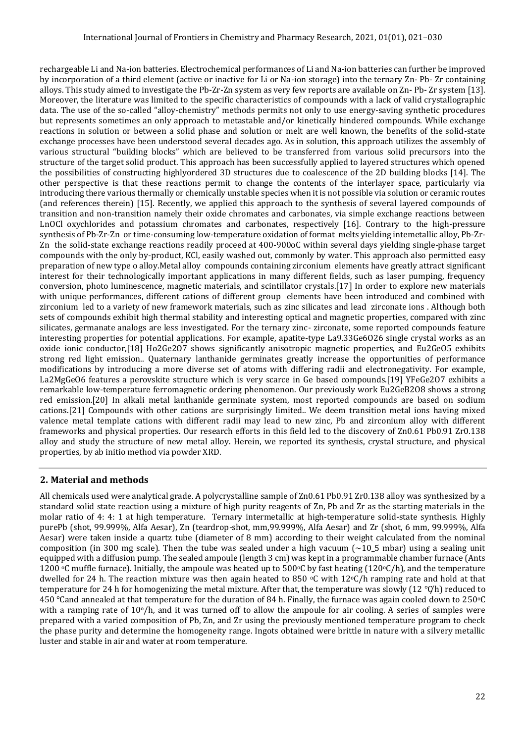rechargeable Li and Na-ion batteries. Electrochemical performances of Li and Na-ion batteries can further be improved by incorporation of a third element (active or inactive for Li or Na-ion storage) into the ternary Zn- Pb- Zr containing alloys. This study aimed to investigate the Pb-Zr-Zn system as very few reports are available on Zn- Pb- Zr system [13]. Moreover, the literature was limited to the specific characteristics of compounds with a lack of valid crystallographic data. The use of the so-called "alloy-chemistry" methods permits not only to use energy-saving synthetic procedures but represents sometimes an only approach to metastable and/or kinetically hindered compounds. While exchange reactions in solution or between a solid phase and solution or melt are well known, the benefits of the solid-state exchange processes have been understood several decades ago. As in solution, this approach utilizes the assembly of various structural "building blocks" which are believed to be transferred from various solid precursors into the structure of the target solid product. This approach has been successfully applied to layered structures which opened the possibilities of constructing highlyordered 3D structures due to coalescence of the 2D building blocks [14]. The other perspective is that these reactions permit to change the contents of the interlayer space, particularly via introducing there various thermally or chemically unstable species when it is not possible via solution or ceramic routes (and references therein) [15]. Recently, we applied this approach to the synthesis of several layered compounds of transition and non-transition namely their oxide chromates and carbonates, via simple exchange reactions between LnOCl oxychlorides and potassium chromates and carbonates, respectively [16]. Contrary to the high-pressure synthesis of Pb-Zr-Zn or time-consuming low-temperature oxidation of format melts yielding intemetallic alloy, Pb-Zr-Zn the solid-state exchange reactions readily proceed at 400-900oC within several days yielding single-phase target compounds with the only by-product, KCl, easily washed out, commonly by water. This approach also permitted easy preparation of new type o alloy.Metal alloy compounds containing zirconium elements have greatly attract significant interest for their technologically important applications in many different fields, such as laser pumping, frequency conversion, photo luminescence, magnetic materials, and scintillator crystals.[17] In order to explore new materials with unique performances, different cations of different group elements have been introduced and combined with zirconium led to a variety of new framework materials, such as zinc silicates and lead zirconate ions . Although both sets of compounds exhibit high thermal stability and interesting optical and magnetic properties, compared with zinc silicates, germanate analogs are less investigated. For the ternary zinc- zirconate, some reported compounds feature interesting properties for potential applications. For example, apatite-type La9.33Ge6O26 single crystal works as an oxide ionic conductor,[18] Ho2Ge2O7 shows significantly anisotropic magnetic properties, and Eu2GeO5 exhibits strong red light emission.. Quaternary lanthanide germinates greatly increase the opportunities of performance modifications by introducing a more diverse set of atoms with differing radii and electronegativity. For example, La2MgGeO6 features a perovskite structure which is very scarce in Ge based compounds.[19] YFeGe2O7 exhibits a remarkable low-temperature ferromagnetic ordering phenomenon. Our previously work Eu2GeB2O8 shows a strong red emission.[20] In alkali metal lanthanide germinate system, most reported compounds are based on sodium cations.[21] Compounds with other cations are surprisingly limited.. We deem transition metal ions having mixed valence metal template cations with different radii may lead to new zinc, Pb and zirconium alloy with different frameworks and physical properties. Our research efforts in this field led to the discovery of Zn0.61 Pb0.91 Zr0.138 alloy and study the structure of new metal alloy. Herein, we reported its synthesis, crystal structure, and physical properties, by ab initio method via powder XRD.

# **2. Material and methods**

All chemicals used were analytical grade. A polycrystalline sample of Zn0.61 Pb0.91 Zr0.138 alloy was synthesized by a standard solid state reaction using a mixture of high purity reagents of Zn, Pb and Zr as the starting materials in the molar ratio of 4: 4: 1 at high temperature. Ternary intermetallic at high-temperature solid-state synthesis. Highly purePb (shot, 99.999%, Alfa Aesar), Zn (teardrop-shot, mm,99.999%, Alfa Aesar) and Zr (shot, 6 mm, 99.999%, Alfa Aesar) were taken inside a quartz tube (diameter of 8 mm) according to their weight calculated from the nominal composition (in 300 mg scale). Then the tube was sealed under a high vacuum  $\sim$ 10\_5 mbar) using a sealing unit equipped with a diffusion pump. The sealed ampoule (length 3 cm) was kept in a programmable chamber furnace (Ants 1200 °C muffle furnace). Initially, the ampoule was heated up to 500°C by fast heating (120°C/h), and the temperature dwelled for 24 h. The reaction mixture was then again heated to 850  $\circ$ C with 12 $\circ$ C/h ramping rate and hold at that temperature for 24 h for homogenizing the metal mixture. After that, the temperature was slowly (12 °C/h) reduced to 450 ℃and annealed at that temperature for the duration of 84 h. Finally, the furnace was again cooled down to 250oC with a ramping rate of  $10^{\circ}/h$ , and it was turned off to allow the ampoule for air cooling. A series of samples were prepared with a varied composition of Pb, Zn, and Zr using the previously mentioned temperature program to check the phase purity and determine the homogeneity range. Ingots obtained were brittle in nature with a silvery metallic luster and stable in air and water at room temperature.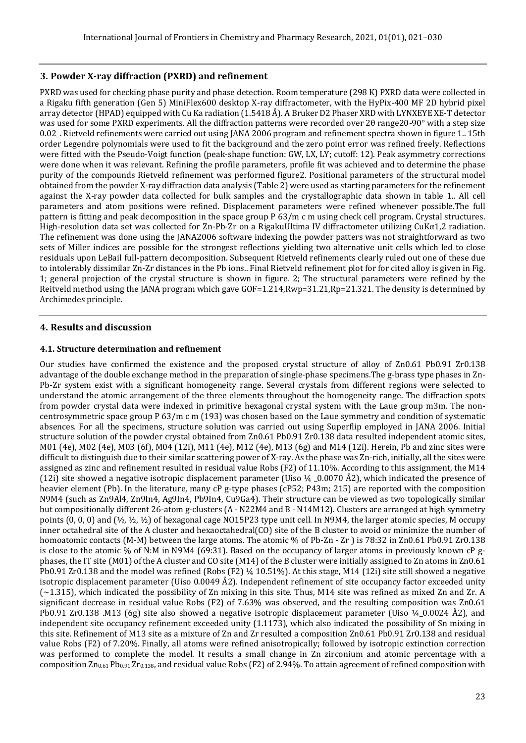### **3. Powder X-ray diffraction (PXRD) and refinement**

PXRD was used for checking phase purity and phase detection. Room temperature (298 K) PXRD data were collected in a Rigaku fifth generation (Gen 5) MiniFlex600 desktop X-ray diffractometer, with the HyPix-400 MF 2D hybrid pixel array detector (HPAD) equipped with Cu Ka radiation (1.5418 Å). A Bruker D2 Phaser XRD with LYNXEYE XE-T detector was used for some PXRD experiments. All the diffraction patterns were recorded over 20 range20-90° with a step size 0.02\_. Rietveld refinements were carried out using JANA 2006 program and refinement spectra shown in figure 1.. 15th order Legendre polynomials were used to fit the background and the zero point error was refined freely. Reflections were fitted with the Pseudo-Voigt function (peak-shape function: GW, LX, LY; cutoff: 12). Peak asymmetry corrections were done when it was relevant. Refining the profile parameters, profile fit was achieved and to determine the phase purity of the compounds Rietveld refinement was performed figure2. Positional parameters of the structural model obtained from the powder X-ray diffraction data analysis (Table 2) were used as starting parameters for the refinement against the X-ray powder data collected for bulk samples and the crystallographic data shown in table 1.. All cell parameters and atom positions were refined. Displacement parameters were refined whenever possible.The full pattern is fitting and peak decomposition in the space group P 63/m c m using check cell program. Crystal structures. High-resolution data set was collected for Zn-Pb-Zr on a RigakuUltima IV diffractometer utilizing CuKα1,2 radiation. The refinement was done using the JANA2006 software indexing the powder patters was not straightforward as two sets of Miller indices are possible for the strongest reflections yielding two alternative unit cells which led to close residuals upon LeBail full-pattern decomposition. Subsequent Rietveld refinements clearly ruled out one of these due to intolerably dissimilar Zn-Zr distances in the Pb ions.. Final Rietveld refinement plot for for cited alloy is given in Fig. 1; general projection of the crystal structure is shown in figure. 2; The structural parameters were refined by the Reitveld method using the JANA program which gave GOF=1.214,Rwp=31.21,Rp=21.321. The density is determined by Archimedes principle.

### **4. Results and discussion**

### **4.1. Structure determination and refinement**

Our studies have confirmed the existence and the proposed crystal structure of alloy of Zn0.61 Pb0.91 Zr0.138 advantage of the double exchange method in the preparation of single-phase specimens.The g-brass type phases in Zn-Pb-Zr system exist with a significant homogeneity range. Several crystals from different regions were selected to understand the atomic arrangement of the three elements throughout the homogeneity range. The diffraction spots from powder crystal data were indexed in primitive hexagonal crystal system with the Laue group m3m. The noncentrosymmetric space group P 63/m c m (193) was chosen based on the Laue symmetry and condition of systematic absences. For all the specimens, structure solution was carried out using Superflip employed in JANA 2006. Initial structure solution of the powder crystal obtained from Zn0.61 Pb0.91 Zr0.138 data resulted independent atomic sites, M01 (4e), M02 (4e), M03 (6f), M04 (12i), M11 (4e), M12 (4e), M13 (6g) and M14 (12i). Herein, Pb and zinc sites were difficult to distinguish due to their similar scattering power of X-ray. As the phase was Zn-rich, initially, all the sites were assigned as zinc and refinement resulted in residual value Robs (F2) of 11.10%. According to this assignment, the M14 (12i) site showed a negative isotropic displacement parameter (Uiso  $\frac{1}{4}$  \_0.0070 Å2), which indicated the presence of heavier element (Pb). In the literature, many cP g-type phases (cP52; P43m; 215) are reported with the composition N9M4 (such as Zn9Al4, Zn9In4, Ag9In4, Pb9In4, Cu9Ga4). Their structure can be viewed as two topologically similar but compositionally different 26-atom g-clusters (A - N22M4 and B - N14M12). Clusters are arranged at high symmetry points  $(0, 0, 0)$  and  $(\frac{1}{2}, \frac{1}{2}, \frac{1}{2})$  of hexagonal cage NO15P23 type unit cell. In N9M4, the larger atomic species, M occupy inner octahedral site of the A cluster and hexaoctahedral(CO) site of the B cluster to avoid or minimize the number of homoatomic contacts (M-M) between the large atoms. The atomic % of Pb-Zn - Zr) is 78:32 in Zn0.61 Pb0.91 Zr0.138 is close to the atomic % of N:M in N9M4 (69:31). Based on the occupancy of larger atoms in previously known cP gphases, the IT site (M01) of the A cluster and CO site (M14) of the B cluster were initially assigned to Zn atoms in Zn0.61 Pb0.91 Zr0.138 and the model was refined (Robs  $(F2)$  ¼ 10.51%). At this stage, M14 (12i) site still showed a negative isotropic displacement parameter (Uiso 0.0049 Å2). Independent refinement of site occupancy factor exceeded unity  $\sim$  1.315), which indicated the possibility of Zn mixing in this site. Thus, M14 site was refined as mixed Zn and Zr. A significant decrease in residual value Robs (F2) of 7.63% was observed, and the resulting composition was Zn0.61 Pb0.91 Zr0.138 .M13 (6g) site also showed a negative isotropic displacement parameter (Uiso ¼\_0.0024 Å2), and independent site occupancy refinement exceeded unity (1.1173), which also indicated the possibility of Sn mixing in this site. Refinement of M13 site as a mixture of Zn and Zr resulted a composition Zn0.61 Pb0.91 Zr0.138 and residual value Robs (F2) of 7.20%. Finally, all atoms were refined anisotropically; followed by isotropic extinction correction was performed to complete the model. It results a small change in Zn zirconium and atomic percentage with a composition  $Zn_{0.61}Pb_{0.91}Zr_{0.138}$ , and residual value Robs (F2) of 2.94%. To attain agreement of refined composition with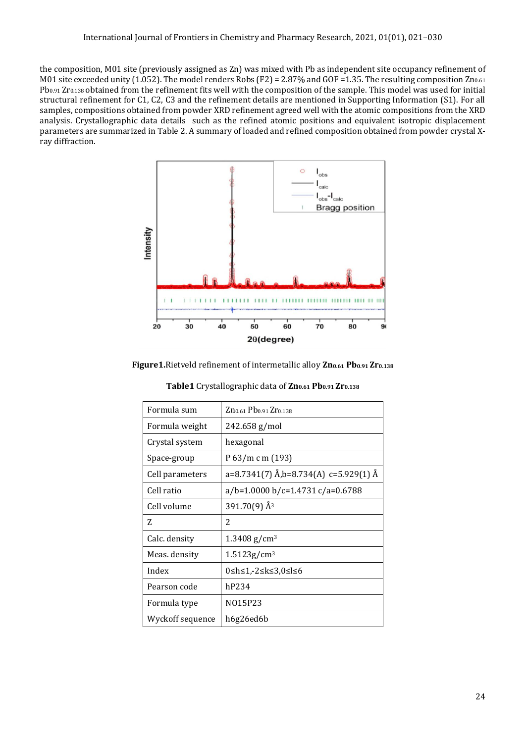the composition, M01 site (previously assigned as Zn) was mixed with Pb as independent site occupancy refinement of M01 site exceeded unity (1.052). The model renders Robs (F2) = 2.87% and GOF = 1.35. The resulting composition  $Zn_{0.61}$ Pb<sub>0.91</sub> Zr<sub>0.138</sub> obtained from the refinement fits well with the composition of the sample. This model was used for initial structural refinement for C1, C2, C3 and the refinement details are mentioned in Supporting Information (S1). For all samples, compositions obtained from powder XRD refinement agreed well with the atomic compositions from the XRD analysis. Crystallographic data details such as the refined atomic positions and equivalent isotropic displacement parameters are summarized in Table 2. A summary of loaded and refined composition obtained from powder crystal Xray diffraction.



**Figure1.**Rietveld refinement of intermetallic alloy **Zn0.61 Pb0.91 Zr0.138**

| Formula sum      | Zn <sub>0.61</sub> Pb <sub>0.91</sub> Zr <sub>0.138</sub> |  |  |  |
|------------------|-----------------------------------------------------------|--|--|--|
| Formula weight   | 242.658 g/mol                                             |  |  |  |
| Crystal system   | hexagonal                                                 |  |  |  |
| Space-group      | P 63/m c m (193)                                          |  |  |  |
| Cell parameters  | a=8.7341(7) Å,b=8.734(A) c=5.929(1) Å                     |  |  |  |
| Cell ratio       | $a/b = 1.0000 b/c = 1.4731 c/a = 0.6788$                  |  |  |  |
| Cell volume      | $391.70(9)$ Å <sup>3</sup>                                |  |  |  |
| Z                | 2                                                         |  |  |  |
| Calc. density    | $1.3408$ g/cm <sup>3</sup>                                |  |  |  |
| Meas. density    | $1.5123$ g/cm <sup>3</sup>                                |  |  |  |
| Index            | 0≤h≤1,-2≤k≤3,0≤l≤6                                        |  |  |  |
| Pearson code     | hP234                                                     |  |  |  |
| Formula type     | N015P23                                                   |  |  |  |
| Wyckoff sequence | h6g26ed6b                                                 |  |  |  |

**Table1** Crystallographic data of **Zn0.61 Pb0.91 Zr0.138**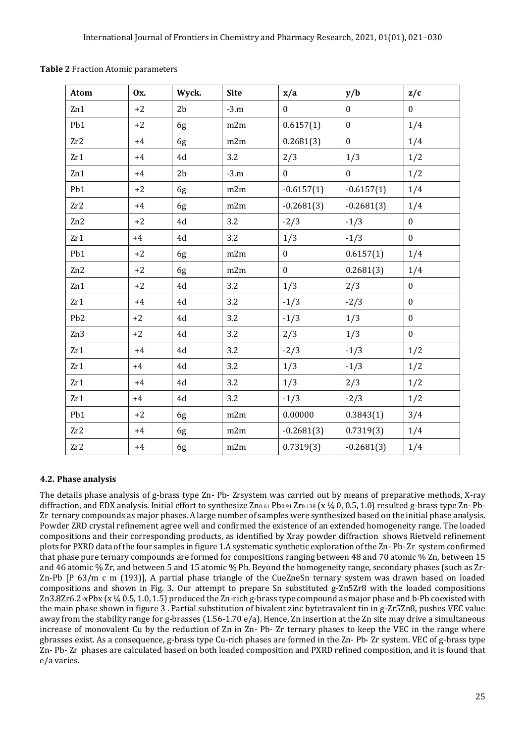| Atom            | 0x.  | Wyck.          | <b>Site</b> | x/a          | y/b              | z/c              |
|-----------------|------|----------------|-------------|--------------|------------------|------------------|
| Zn1             | $+2$ | 2 <sub>b</sub> | $-3.m$      | $\mathbf{0}$ | $\mathbf{0}$     | $\mathbf{0}$     |
| Pb1             | $+2$ | 6g             | m2m         | 0.6157(1)    | $\boldsymbol{0}$ | 1/4              |
| Zr2             | $+4$ | 6g             | m2m         | 0.2681(3)    | $\boldsymbol{0}$ | 1/4              |
| Zr1             | $+4$ | 4d             | 3.2         | 2/3          | 1/3              | 1/2              |
| Zn1             | $+4$ | 2 <sub>b</sub> | $-3.m$      | $\mathbf{0}$ | $\boldsymbol{0}$ | 1/2              |
| Pb1             | $+2$ | 6g             | m2m         | $-0.6157(1)$ | $-0.6157(1)$     | 1/4              |
| Zr2             | $+4$ | 6g             | m2m         | $-0.2681(3)$ | $-0.2681(3)$     | 1/4              |
| Zn2             | $+2$ | 4d             | 3.2         | $-2/3$       | $-1/3$           | $\boldsymbol{0}$ |
| Zr1             | $+4$ | 4d             | 3.2         | 1/3          | $-1/3$           | $\mathbf{0}$     |
| Pb1             | $+2$ | 6g             | m2m         | $\mathbf{0}$ | 0.6157(1)        | 1/4              |
| Zn2             | $+2$ | 6g             | m2m         | $\mathbf{0}$ | 0.2681(3)        | 1/4              |
| Zn1             | $+2$ | 4d             | 3.2         | 1/3          | 2/3              | $\mathbf{0}$     |
| Zr1             | $+4$ | 4d             | 3.2         | $-1/3$       | $-2/3$           | $\boldsymbol{0}$ |
| Pb <sub>2</sub> | $+2$ | 4d             | 3.2         | $-1/3$       | 1/3              | $\overline{0}$   |
| Zn <sub>3</sub> | $+2$ | 4d             | 3.2         | 2/3          | 1/3              | $\boldsymbol{0}$ |
| Zr1             | $+4$ | 4d             | 3.2         | $-2/3$       | $-1/3$           | 1/2              |
| Zr1             | $+4$ | 4d             | 3.2         | 1/3          | $-1/3$           | 1/2              |
| Zr1             | $+4$ | 4d             | 3.2         | 1/3          | 2/3              | 1/2              |
| Zr1             | $+4$ | 4d             | 3.2         | $-1/3$       | $-2/3$           | 1/2              |
| Pb1             | $+2$ | 6g             | m2m         | 0.00000      | 0.3843(1)        | 3/4              |
| Zr2             | $+4$ | 6g             | m2m         | $-0.2681(3)$ | 0.7319(3)        | 1/4              |
| Zr2             | $+4$ | 6g             | m2m         | 0.7319(3)    | $-0.2681(3)$     | 1/4              |

**Table 2** Fraction Atomic parameters

### **4.2. Phase analysis**

The details phase analysis of g-brass type Zn- Pb- Zrsystem was carried out by means of preparative methods, X-ray diffraction, and EDX analysis. Initial effort to synthesize  $Zn_{0.61}Pb_{0.91}Zr_{0.138}$  (x  $\frac{1}{4}$  0, 0.5, 1.0) resulted g-brass type Zn-Pb-Zr ternary compounds as major phases. A large number of samples were synthesized based on the initial phase analysis. Powder ZRD crystal refinement agree well and confirmed the existence of an extended homogeneity range. The loaded compositions and their corresponding products, as identified by Xray powder diffraction shows Rietveld refinement plots for PXRD data of the four samples in figure 1.A systematic synthetic exploration of the Zn- Pb- Zr system confirmed that phase pure ternary compounds are formed for compositions ranging between 48 and 70 atomic % Zn, between 15 and 46 atomic % Zr, and between 5 and 15 atomic % Pb. Beyond the homogeneity range, secondary phases (such as Zr-Zn-Pb [P 63/m c m (193)], A partial phase triangle of the CueZneSn ternary system was drawn based on loaded compositions and shown in Fig. 3. Our attempt to prepare Sn substituted g-Zn5Zr8 with the loaded compositions Zn3.8Zr6.2-xPbx (x ¼ 0.5, 1.0, 1.5) produced the Zn-rich g-brass type compound as major phase and b-Pb coexisted with the main phase shown in figure 3 . Partial substitution of bivalent zinc bytetravalent tin in g-Zr5Zn8, pushes VEC value away from the stability range for g-brasses  $(1.56-1.70 \text{ e/a})$ . Hence, Zn insertion at the Zn site may drive a simultaneous increase of monovalent Cu by the reduction of Zn in Zn- Pb- Zr ternary phases to keep the VEC in the range where gbrasses exist. As a consequence, g-brass type Cu-rich phases are formed in the Zn- Pb- Zr system. VEC of g-brass type Zn- Pb- Zr phases are calculated based on both loaded composition and PXRD refined composition, and it is found that e/a varies.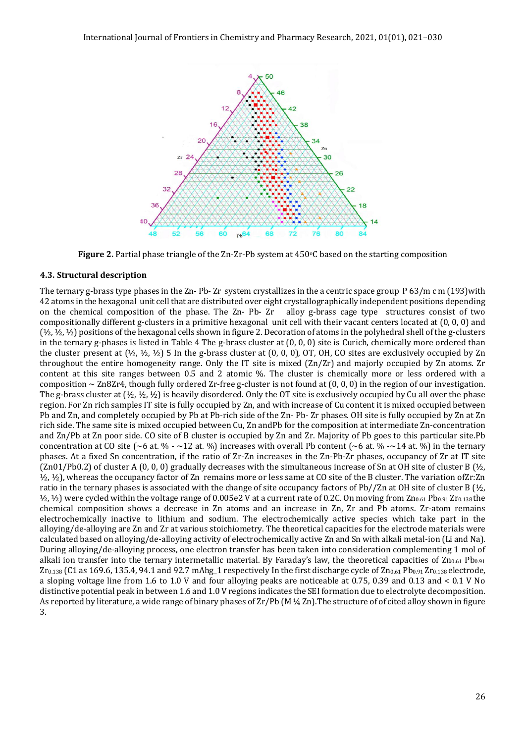

**Figure 2.** Partial phase triangle of the Zn-Zr-Pb system at 450°C based on the starting composition

#### **4.3. Structural description**

The ternary g-brass type phases in the Zn- Pb- Zr system crystallizes in the a centric space group P 63/m c m (193) with 42 atoms in the hexagonal unit cell that are distributed over eight crystallographically independent positions depending on the chemical composition of the phase. The Zn- Pb- Zr alloy g-brass cage type structures consist of two compositionally different g-clusters in a primitive hexagonal unit cell with their vacant centers located at (0, 0, 0) and (½, ½, ½) positions of the hexagonal cells shown in figure 2. Decoration of atoms in the polyhedral shell of the g-clusters in the ternary g-phases is listed in Table 4 The g-brass cluster at (0, 0, 0) site is Curich, chemically more ordered than the cluster present at  $(\frac{1}{2}, \frac{1}{2}, \frac{1}{2})$  5 In the g-brass cluster at  $(0, 0, 0)$ , OT, OH, CO sites are exclusively occupied by Zn throughout the entire homogeneity range. Only the IT site is mixed (Zn/Zr) and majorly occupied by Zn atoms. Zr content at this site ranges between 0.5 and 2 atomic %. The cluster is chemically more or less ordered with a composition  $\sim$  Zn8Zr4, though fully ordered Zr-free g-cluster is not found at  $(0, 0, 0)$  in the region of our investigation. The g-brass cluster at  $(\frac{1}{2}, \frac{1}{2}, \frac{1}{2})$  is heavily disordered. Only the OT site is exclusively occupied by Cu all over the phase region. For Zn rich samples IT site is fully occupied by Zn, and with increase of Cu content it is mixed occupied between Pb and Zn, and completely occupied by Pb at Pb-rich side of the Zn- Pb- Zr phases. OH site is fully occupied by Zn at Zn rich side. The same site is mixed occupied between Cu, Zn andPb for the composition at intermediate Zn-concentration and Zn/Pb at Zn poor side. CO site of B cluster is occupied by Zn and Zr. Majority of Pb goes to this particular site.Pb concentration at CO site ( $\sim$ 6 at. % -  $\sim$  12 at. %) increases with overall Pb content ( $\sim$ 6 at. % - $\sim$  14 at. %) in the ternary phases. At a fixed Sn concentration, if the ratio of Zr-Zn increases in the Zn-Pb-Zr phases, occupancy of Zr at IT site  $(Zn01/Pb0.2)$  of cluster A  $(0, 0, 0)$  gradually decreases with the simultaneous increase of Sn at OH site of cluster B  $(\frac{1}{2}, \frac{1}{2})$ ½, ½), whereas the occupancy factor of Zn remains more or less same at CO site of the B cluster. The variation ofZr:Zn ratio in the ternary phases is associated with the change of site occupancy factors of Pb//Zn at OH site of cluster B  $(\frac{1}{2})$ ,  $\frac{1}{2}$ ,  $\frac{1}{2}$ ) were cycled within the voltage range of 0.005e2 V at a current rate of 0.2C. On moving from  $Zn_{0.61}Pb_{0.91}Zr_{0.138}$  the chemical composition shows a decrease in Zn atoms and an increase in Zn, Zr and Pb atoms. Zr-atom remains electrochemically inactive to lithium and sodium. The electrochemically active species which take part in the alloying/de-alloying are Zn and Zr at various stoichiometry. The theoretical capacities for the electrode materials were calculated based on alloying/de-alloying activity of electrochemically active Zn and Sn with alkali metal-ion (Li and Na). During alloying/de-alloying process, one electron transfer has been taken into consideration complementing 1 mol of alkali ion transfer into the ternary intermetallic material. By Faraday's law, the theoretical capacities of  $Zn_{0.61}$  Pb<sub>0.91</sub>  $Zr_{0.138}$  (C1 as 169.6, 135.4, 94.1 and 92.7 mAhg\_1 respectively In the first discharge cycle of  $Zn_{0.61}$  Pb<sub>0.91</sub> Zr<sub>0.138</sub> electrode, a sloping voltage line from 1.6 to 1.0 V and four alloying peaks are noticeable at 0.75, 0.39 and 0.13 and < 0.1 V No distinctive potential peak in between 1.6 and 1.0 V regions indicates the SEI formation due to electrolyte decomposition. As reported by literature, a wide range of binary phases of  $Zr/Pb$  (M  $\frac{1}{4}$  Zn). The structure of of cited alloy shown in figure 3.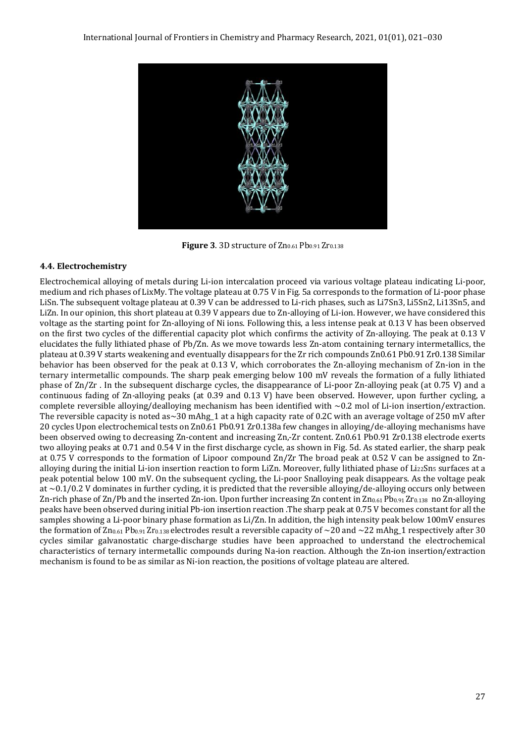

**Figure 3. 3D structure of Zn0.61 Pb0.91 Zr0.138** 

### **4.4. Electrochemistry**

Electrochemical alloying of metals during Li-ion intercalation proceed via various voltage plateau indicating Li-poor, medium and rich phases of LixMy. The voltage plateau at 0.75 V in Fig. 5a corresponds to the formation of Li-poor phase LiSn. The subsequent voltage plateau at 0.39 V can be addressed to Li-rich phases, such as Li7Sn3, Li5Sn2, Li13Sn5, and LiZn. In our opinion, this short plateau at 0.39 V appears due to Zn-alloying of Li-ion. However, we have considered this voltage as the starting point for Zn-alloying of Ni ions. Following this, a less intense peak at 0.13 V has been observed on the first two cycles of the differential capacity plot which confirms the activity of Zn-alloying. The peak at 0.13 V elucidates the fully lithiated phase of Pb/Zn. As we move towards less Zn-atom containing ternary intermetallics, the plateau at 0.39 V starts weakening and eventually disappears for the Zr rich compounds Zn0.61 Pb0.91 Zr0.138 Similar behavior has been observed for the peak at 0.13 V, which corroborates the Zn-alloying mechanism of Zn-ion in the ternary intermetallic compounds. The sharp peak emerging below 100 mV reveals the formation of a fully lithiated phase of Zn/Zr . In the subsequent discharge cycles, the disappearance of Li-poor Zn-alloying peak (at 0.75 V) and a continuous fading of Zn-alloying peaks (at 0.39 and 0.13 V) have been observed. However, upon further cycling, a complete reversible alloying/dealloying mechanism has been identified with  $\sim 0.2$  mol of Li-ion insertion/extraction. The reversible capacity is noted as $\sim$ 30 mAhg\_1 at a high capacity rate of 0.2C with an average voltage of 250 mV after 20 cycles Upon electrochemical tests on Zn0.61 Pb0.91 Zr0.138a few changes in alloying/de-alloying mechanisms have been observed owing to decreasing Zn-content and increasing Zn,-Zr content. Zn0.61 Pb0.91 Zr0.138 electrode exerts two alloying peaks at 0.71 and 0.54 V in the first discharge cycle, as shown in Fig. 5d. As stated earlier, the sharp peak at 0.75 V corresponds to the formation of Lipoor compound Zn/Zr The broad peak at 0.52 V can be assigned to Znalloying during the initial Li-ion insertion reaction to form LiZn. Moreover, fully lithiated phase of  $Li_{22}Sn<sub>5</sub>$  surfaces at a peak potential below 100 mV. On the subsequent cycling, the Li-poor Snalloying peak disappears. As the voltage peak at  $\sim$ 0.1/0.2 V dominates in further cycling, it is predicted that the reversible alloying/de-alloying occurs only between Zn-rich phase of Zn/Pb and the inserted Zn-ion. Upon further increasing Zn content in  $Zn_{0.61}Pb_{0.91}Zr_{0.138}$  no Zn-alloying peaks have been observed during initial Pb-ion insertion reaction .The sharp peak at 0.75 V becomes constant for all the samples showing a Li-poor binary phase formation as Li/Zn. In addition, the high intensity peak below 100mV ensures the formation of  $Zn_{0.61}Pb_{0.91}Zr_{0.138}$  electrodes result a reversible capacity of  $\sim$ 20 and  $\sim$ 22 mAhg\_1 respectively after 30 cycles similar galvanostatic charge-discharge studies have been approached to understand the electrochemical characteristics of ternary intermetallic compounds during Na-ion reaction. Although the Zn-ion insertion/extraction mechanism is found to be as similar as Ni-ion reaction, the positions of voltage plateau are altered.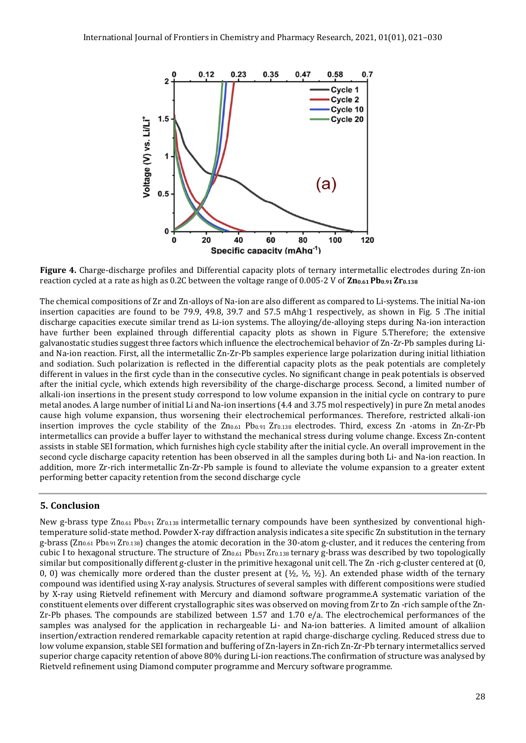

**Figure 4.** Charge-discharge profiles and Differential capacity plots of ternary intermetallic electrodes during Zn-ion reaction cycled at a rate as high as 0.2C between the voltage range of 0.005-2 V of **Zn0.61 Pb0.91 Zr0.138**

The chemical compositions of Zr and Zn-alloys of Na-ion are also different as compared to Li-systems. The initial Na-ion insertion capacities are found to be 79.9, 49.8, 39.7 and 57.5 mAhg-1 respectively, as shown in Fig. 5 .The initial discharge capacities execute similar trend as Li-ion systems. The alloying/de-alloying steps during Na-ion interaction have further been explained through differential capacity plots as shown in Figure 5.Therefore; the extensive galvanostatic studies suggest three factors which influence the electrochemical behavior of Zn-Zr-Pb samples during Liand Na-ion reaction. First, all the intermetallic Zn-Zr-Pb samples experience large polarization during initial lithiation and sodiation. Such polarization is reflected in the differential capacity plots as the peak potentials are completely different in values in the first cycle than in the consecutive cycles. No significant change in peak potentials is observed after the initial cycle, which extends high reversibility of the charge-discharge process. Second, a limited number of alkali-ion insertions in the present study correspond to low volume expansion in the initial cycle on contrary to pure metal anodes. A large number of initial Li and Na-ion insertions (4.4 and 3.75 mol respectively) in pure Zn metal anodes cause high volume expansion, thus worsening their electrochemical performances. Therefore, restricted alkali-ion insertion improves the cycle stability of the  $Zn_{0.61}$   $Pb_{0.91}$   $Zr_{0.138}$  electrodes. Third, excess  $Zn$  -atoms in  $Zn$ - $Zr$ - $Pb$ intermetallics can provide a buffer layer to withstand the mechanical stress during volume change. Excess Zn-content assists in stable SEI formation, which furnishes high cycle stability after the initial cycle. An overall improvement in the second cycle discharge capacity retention has been observed in all the samples during both Li- and Na-ion reaction. In addition, more Zr-rich intermetallic Zn-Zr-Pb sample is found to alleviate the volume expansion to a greater extent performing better capacity retention from the second discharge cycle

### **5. Conclusion**

New g-brass type Zn<sub>0.61</sub> Pb<sub>0.91</sub> Zr<sub>0.138</sub> intermetallic ternary compounds have been synthesized by conventional hightemperature solid-state method. Powder X-ray diffraction analysis indicates a site specific Zn substitution in the ternary g-brass ( $Zn_{0.61}$  Pb<sub>0.91</sub> Zr<sub>0.138</sub>) changes the atomic decoration in the 30-atom g-cluster, and it reduces the centering from cubic I to hexagonal structure. The structure of Zn0.61 Pb0.91 Zr0.138 ternary g-brass was described by two topologically similar but compositionally different g-cluster in the primitive hexagonal unit cell. The Zn -rich g-cluster centered at (0, 0, 0) was chemically more ordered than the cluster present at  $(\frac{1}{2}, \frac{1}{2}, \frac{1}{2})$ . An extended phase width of the ternary compound was identified using X-ray analysis. Structures of several samples with different compositions were studied by X-ray using Rietveld refinement with Mercury and diamond software programme.A systematic variation of the constituent elements over different crystallographic sites was observed on moving from Zr to Zn -rich sample of the Zn-Zr-Pb phases. The compounds are stabilized between 1.57 and 1.70 e/a. The electrochemical performances of the samples was analysed for the application in rechargeable Li- and Na-ion batteries. A limited amount of alkaliion insertion/extraction rendered remarkable capacity retention at rapid charge-discharge cycling. Reduced stress due to low volume expansion, stable SEI formation and buffering of Zn-layers in Zn-rich Zn-Zr-Pb ternary intermetallics served superior charge capacity retention of above 80% during Li-ion reactions.The confirmation of structure was analysed by Rietveld refinement using Diamond computer programme and Mercury software programme.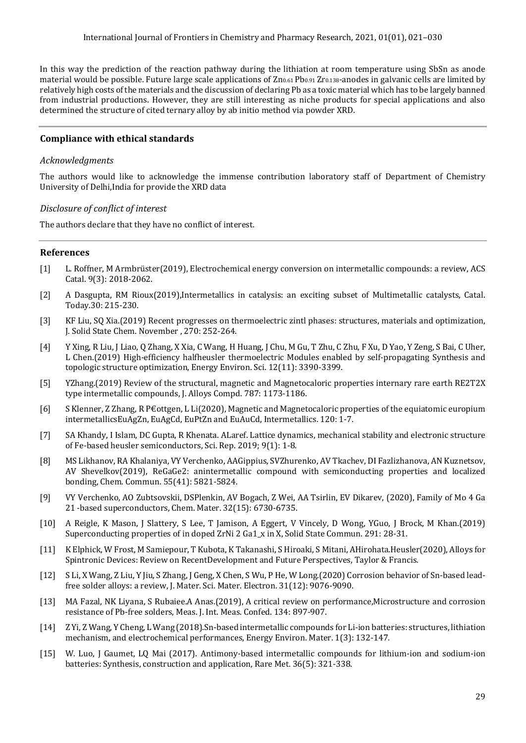In this way the prediction of the reaction pathway during the lithiation at room temperature using SbSn as anode material would be possible. Future large scale applications of  $Zn_{0.61}Pb_{0.91}Zr_{0.138}$ -anodes in galvanic cells are limited by relatively high costs of the materials and the discussion of declaring Pb as a toxic material which has to be largely banned from industrial productions. However, they are still interesting as niche products for special applications and also determined the structure of cited ternary alloy by ab initio method via powder XRD.

### **Compliance with ethical standards**

### *Acknowledgments*

The authors would like to acknowledge the immense contribution laboratory staff of Department of Chemistry University of Delhi,India for provide the XRD data

#### *Disclosure of conflict of interest*

The authors declare that they have no conflict of interest.

#### **References**

- [1] L. Roffner, M Armbrüster(2019), Electrochemical energy conversion on intermetallic compounds: a review, ACS Catal. 9(3): 2018-2062.
- [2] A Dasgupta, RM Rioux(2019),Intermetallics in catalysis: an exciting subset of Multimetallic catalysts, Catal. Today.30: 215-230.
- [3] KF Liu, SQ Xia.(2019) Recent progresses on thermoelectric zintl phases: structures, materials and optimization, J. Solid State Chem. November , 270: 252-264.
- [4] Y Xing, R Liu, J Liao, Q Zhang, X Xia, C Wang, H Huang, J Chu, M Gu, T Zhu, C Zhu, F Xu, D Yao, Y Zeng, S Bai, C Uher, L Chen.(2019) High-efficiency halfheusler thermoelectric Modules enabled by self-propagating Synthesis and topologic structure optimization, Energy Environ. Sci. 12(11): 3390-3399.
- [5] YZhang.(2019) Review of the structural, magnetic and Magnetocaloric properties internary rare earth RE2T2X type intermetallic compounds, J. Alloys Compd. 787: 1173-1186.
- [6] S Klenner, Z Zhang, R P€ottgen, L Li(2020), Magnetic and Magnetocaloric properties of the equiatomic europium intermetallicsEuAgZn, EuAgCd, EuPtZn and EuAuCd, Intermetallics. 120: 1-7.
- [7] SA Khandy, I Islam, DC Gupta, R Khenata. ALaref. Lattice dynamics, mechanical stability and electronic structure of Fe-based heusler semiconductors, Sci. Rep. 2019; 9(1): 1-8.
- [8] MS Likhanov, RA Khalaniya, VY Verchenko, AAGippius, SVZhurenko, AV Tkachev, DI Fazlizhanova, AN Kuznetsov, AV Shevelkov(2019), ReGaGe2: anintermetallic compound with semiconducting properties and localized bonding, Chem. Commun. 55(41): 5821-5824.
- [9] VY Verchenko, AO Zubtsovskii, DSPlenkin, AV Bogach, Z Wei, AA Tsirlin, EV Dikarev, (2020), Family of Mo 4 Ga 21 -based superconductors, Chem. Mater. 32(15): 6730-6735.
- [10] A Reigle, K Mason, J Slattery, S Lee, T Jamison, A Eggert, V Vincely, D Wong, YGuo, J Brock, M Khan.(2019) Superconducting properties of in doped ZrNi 2 Ga1\_x in X, Solid State Commun. 291: 28-31.
- [11] K Elphick, W Frost, M Samiepour, T Kubota, K Takanashi, S Hiroaki, S Mitani, AHirohata.Heusler(2020), Alloys for Spintronic Devices: Review on RecentDevelopment and Future Perspectives, Taylor & Francis.
- [12] S Li, X Wang, Z Liu, Y Jiu, S Zhang, J Geng, X Chen, S Wu, P He, W Long.(2020) Corrosion behavior of Sn-based leadfree solder alloys: a review, J. Mater. Sci. Mater. Electron. 31(12): 9076-9090.
- [13] MA Fazal, NK Liyana, S Rubaiee.A Anas.(2019), A critical review on performance,Microstructure and corrosion resistance of Pb-free solders, Meas. J. Int. Meas. Confed. 134: 897-907.
- [14] Z Yi, Z Wang, Y Cheng, L Wang (2018).Sn-based intermetallic compounds for Li-ion batteries: structures, lithiation mechanism, and electrochemical performances, Energy Environ. Mater. 1(3): 132-147.
- [15] W. Luo, J Gaumet, LQ Mai (2017). Antimony-based intermetallic compounds for lithium-ion and sodium-ion batteries: Synthesis, construction and application, Rare Met. 36(5): 321-338.